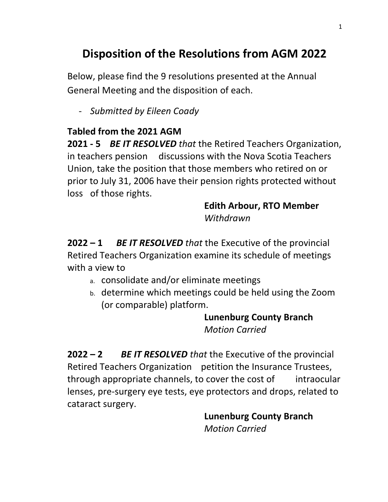# **Disposition of the Resolutions from AGM 2022**

Below, please find the 9 resolutions presented at the Annual General Meeting and the disposition of each.

- *Submitted by Eileen Coady* 

## **Tabled from the 2021 AGM**

**2021 - 5** *BE IT RESOLVED that* the Retired Teachers Organization, in teachers pension discussions with the Nova Scotia Teachers Union, take the position that those members who retired on or prior to July 31, 2006 have their pension rights protected without loss of those rights.

### **Edith Arbour, RTO Member** *Withdrawn*

**2022 – 1** *BE IT RESOLVED that* the Executive of the provincial Retired Teachers Organization examine its schedule of meetings with a view to

- a. consolidate and/or eliminate meetings
- b. determine which meetings could be held using the Zoom (or comparable) platform.

## **Lunenburg County Branch** *Motion Carried*

**2022 – 2** *BE IT RESOLVED that* the Executive of the provincial Retired Teachers Organization petition the Insurance Trustees, through appropriate channels, to cover the cost of intraocular lenses, pre-surgery eye tests, eye protectors and drops, related to cataract surgery.

> **Lunenburg County Branch** *Motion Carried*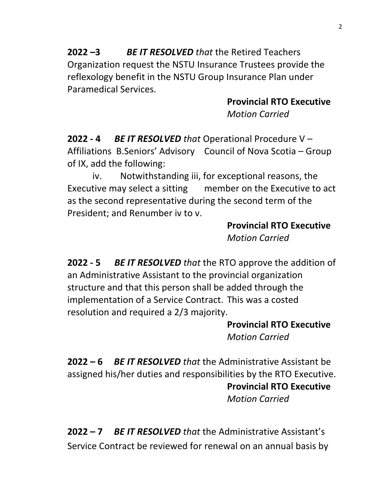**2022 –3** *BE IT RESOLVED that* the Retired Teachers Organization request the NSTU Insurance Trustees provide the reflexology benefit in the NSTU Group Insurance Plan under Paramedical Services.

> **Provincial RTO Executive** *Motion Carried*

**2022 - 4** *BE IT RESOLVED that* Operational Procedure V – Affiliations B.Seniors' Advisory Council of Nova Scotia – Group of IX, add the following:

iv. Notwithstanding iii, for exceptional reasons, the Executive may select a sitting member on the Executive to act as the second representative during the second term of the President; and Renumber iv to v.

> **Provincial RTO Executive** *Motion Carried*

**2022 - 5** *BE IT RESOLVED that* the RTO approve the addition of an Administrative Assistant to the provincial organization structure and that this person shall be added through the implementation of a Service Contract. This was a costed resolution and required a 2/3 majority.

> **Provincial RTO Executive** *Motion Carried*

**2022 – 6** *BE IT RESOLVED that* the Administrative Assistant be assigned his/her duties and responsibilities by the RTO Executive. **Provincial RTO Executive**

*Motion Carried* 

**2022 – 7** *BE IT RESOLVED that* the Administrative Assistant's Service Contract be reviewed for renewal on an annual basis by